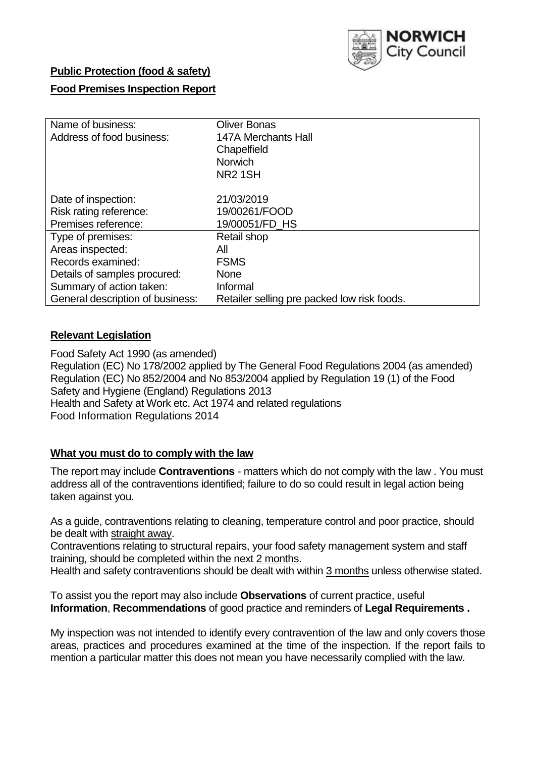

# **Public Protection (food & safety)**

# **Food Premises Inspection Report**

| Name of business:                | <b>Oliver Bonas</b>                         |  |  |  |  |  |
|----------------------------------|---------------------------------------------|--|--|--|--|--|
| Address of food business:        | <b>147A Merchants Hall</b>                  |  |  |  |  |  |
|                                  | Chapelfield                                 |  |  |  |  |  |
|                                  | <b>Norwich</b>                              |  |  |  |  |  |
|                                  | NR <sub>2</sub> 1SH                         |  |  |  |  |  |
| Date of inspection:              | 21/03/2019                                  |  |  |  |  |  |
| Risk rating reference:           | 19/00261/FOOD                               |  |  |  |  |  |
| Premises reference:              | 19/00051/FD HS                              |  |  |  |  |  |
| Type of premises:                | Retail shop                                 |  |  |  |  |  |
| Areas inspected:                 | All                                         |  |  |  |  |  |
| Records examined:                | <b>FSMS</b>                                 |  |  |  |  |  |
| Details of samples procured:     | <b>None</b>                                 |  |  |  |  |  |
| Summary of action taken:         | Informal                                    |  |  |  |  |  |
| General description of business: | Retailer selling pre packed low risk foods. |  |  |  |  |  |

## **Relevant Legislation**

Food Safety Act 1990 (as amended) Regulation (EC) No 178/2002 applied by The General Food Regulations 2004 (as amended) Regulation (EC) No 852/2004 and No 853/2004 applied by Regulation 19 (1) of the Food Safety and Hygiene (England) Regulations 2013 Health and Safety at Work etc. Act 1974 and related regulations Food Information Regulations 2014

### **What you must do to comply with the law**

The report may include **Contraventions** - matters which do not comply with the law . You must address all of the contraventions identified; failure to do so could result in legal action being taken against you.

As a guide, contraventions relating to cleaning, temperature control and poor practice, should be dealt with straight away.

Contraventions relating to structural repairs, your food safety management system and staff training, should be completed within the next 2 months.

Health and safety contraventions should be dealt with within 3 months unless otherwise stated.

To assist you the report may also include **Observations** of current practice, useful **Information**, **Recommendations** of good practice and reminders of **Legal Requirements .**

My inspection was not intended to identify every contravention of the law and only covers those areas, practices and procedures examined at the time of the inspection. If the report fails to mention a particular matter this does not mean you have necessarily complied with the law.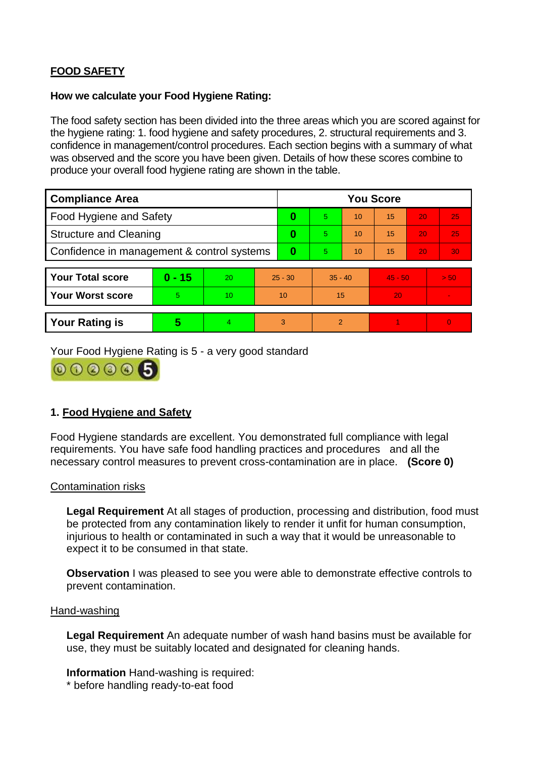# **FOOD SAFETY**

### **How we calculate your Food Hygiene Rating:**

The food safety section has been divided into the three areas which you are scored against for the hygiene rating: 1. food hygiene and safety procedures, 2. structural requirements and 3. confidence in management/control procedures. Each section begins with a summary of what was observed and the score you have been given. Details of how these scores combine to produce your overall food hygiene rating are shown in the table.

| <b>Compliance Area</b>                     |          |    |           | <b>You Score</b> |           |    |           |    |                |  |  |
|--------------------------------------------|----------|----|-----------|------------------|-----------|----|-----------|----|----------------|--|--|
| Food Hygiene and Safety                    |          |    | 0         | $\overline{5}$   | 10        | 15 | 20        | 25 |                |  |  |
| <b>Structure and Cleaning</b>              |          |    | 0         | 5                | 10        | 15 | 20        | 25 |                |  |  |
| Confidence in management & control systems |          |    | $\bf{0}$  | 5                | 10        | 15 | 20        | 30 |                |  |  |
|                                            |          |    |           |                  |           |    |           |    |                |  |  |
| <b>Your Total score</b>                    | $0 - 15$ | 20 | $25 - 30$ |                  | $35 - 40$ |    | $45 - 50$ |    | > 50           |  |  |
| <b>Your Worst score</b>                    | 5        | 10 | 10        |                  | 15        |    | 20        |    | $\blacksquare$ |  |  |
|                                            |          |    |           |                  |           |    |           |    |                |  |  |
| <b>Your Rating is</b>                      | 5        | 4. | 3         |                  | 2         |    |           |    | $\overline{0}$ |  |  |

Your Food Hygiene Rating is 5 - a very good standard



# **1. Food Hygiene and Safety**

Food Hygiene standards are excellent. You demonstrated full compliance with legal requirements. You have safe food handling practices and procedures and all the necessary control measures to prevent cross-contamination are in place. **(Score 0)**

### Contamination risks

**Legal Requirement** At all stages of production, processing and distribution, food must be protected from any contamination likely to render it unfit for human consumption, injurious to health or contaminated in such a way that it would be unreasonable to expect it to be consumed in that state.

**Observation** I was pleased to see you were able to demonstrate effective controls to prevent contamination.

#### Hand-washing

**Legal Requirement** An adequate number of wash hand basins must be available for use, they must be suitably located and designated for cleaning hands.

**Information** Hand-washing is required:

\* before handling ready-to-eat food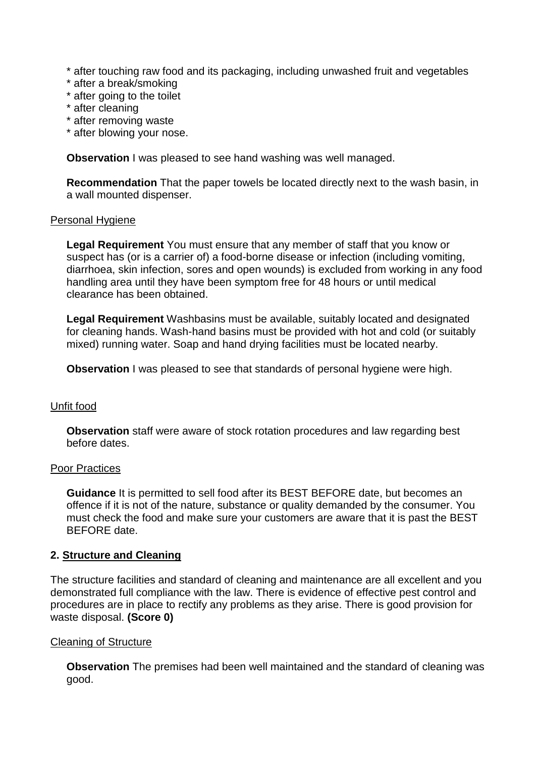\* after touching raw food and its packaging, including unwashed fruit and vegetables

- \* after a break/smoking
- \* after going to the toilet
- \* after cleaning
- \* after removing waste
- \* after blowing your nose.

**Observation** I was pleased to see hand washing was well managed.

**Recommendation** That the paper towels be located directly next to the wash basin, in a wall mounted dispenser.

#### Personal Hygiene

**Legal Requirement** You must ensure that any member of staff that you know or suspect has (or is a carrier of) a food-borne disease or infection (including vomiting, diarrhoea, skin infection, sores and open wounds) is excluded from working in any food handling area until they have been symptom free for 48 hours or until medical clearance has been obtained.

**Legal Requirement** Washbasins must be available, suitably located and designated for cleaning hands. Wash-hand basins must be provided with hot and cold (or suitably mixed) running water. Soap and hand drying facilities must be located nearby.

**Observation** I was pleased to see that standards of personal hygiene were high.

### Unfit food

**Observation** staff were aware of stock rotation procedures and law regarding best before dates.

#### Poor Practices

**Guidance** It is permitted to sell food after its BEST BEFORE date, but becomes an offence if it is not of the nature, substance or quality demanded by the consumer. You must check the food and make sure your customers are aware that it is past the BEST BEFORE date.

### **2. Structure and Cleaning**

The structure facilities and standard of cleaning and maintenance are all excellent and you demonstrated full compliance with the law. There is evidence of effective pest control and procedures are in place to rectify any problems as they arise. There is good provision for waste disposal. **(Score 0)**

#### Cleaning of Structure

**Observation** The premises had been well maintained and the standard of cleaning was good.